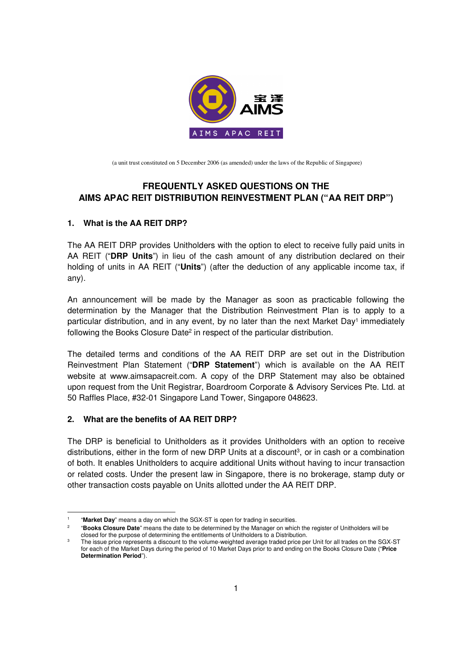

(a unit trust constituted on 5 December 2006 (as amended) under the laws of the Republic of Singapore)

# **FREQUENTLY ASKED QUESTIONS ON THE AIMS APAC REIT DISTRIBUTION REINVESTMENT PLAN ("AA REIT DRP")**

# **1. What is the AA REIT DRP?**

The AA REIT DRP provides Unitholders with the option to elect to receive fully paid units in AA REIT ("**DRP Units**") in lieu of the cash amount of any distribution declared on their holding of units in AA REIT ("**Units**") (after the deduction of any applicable income tax, if any).

An announcement will be made by the Manager as soon as practicable following the determination by the Manager that the Distribution Reinvestment Plan is to apply to a particular distribution, and in any event, by no later than the next Market Day<sup>1</sup> immediately following the Books Closure Date<sup>2</sup> in respect of the particular distribution.

The detailed terms and conditions of the AA REIT DRP are set out in the Distribution Reinvestment Plan Statement ("**DRP Statement**") which is available on the AA REIT website at www.aimsapacreit.com. A copy of the DRP Statement may also be obtained upon request from the Unit Registrar, Boardroom Corporate & Advisory Services Pte. Ltd. at 50 Raffles Place, #32-01 Singapore Land Tower, Singapore 048623.

## **2. What are the benefits of AA REIT DRP?**

The DRP is beneficial to Unitholders as it provides Unitholders with an option to receive distributions, either in the form of new DRP Units at a discount<sup>3</sup>, or in cash or a combination of both. It enables Unitholders to acquire additional Units without having to incur transaction or related costs. Under the present law in Singapore, there is no brokerage, stamp duty or other transaction costs payable on Units allotted under the AA REIT DRP.

<sup>-</sup>1 "**Market Day**" means a day on which the SGX-ST is open for trading in securities.

<sup>2</sup> "**Books Closure Date**" means the date to be determined by the Manager on which the register of Unitholders will be closed for the purpose of determining the entitlements of Unitholders to a Distribution.

<sup>3</sup> The issue price represents a discount to the volume-weighted average traded price per Unit for all trades on the SGX-ST for each of the Market Days during the period of 10 Market Days prior to and ending on the Books Closure Date ("**Price Determination Period**").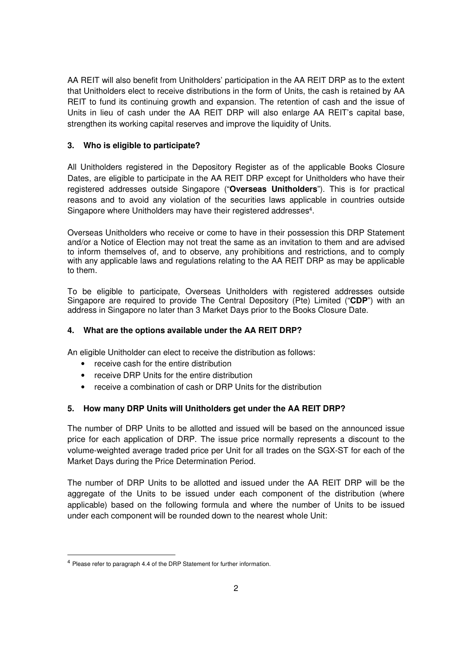AA REIT will also benefit from Unitholders' participation in the AA REIT DRP as to the extent that Unitholders elect to receive distributions in the form of Units, the cash is retained by AA REIT to fund its continuing growth and expansion. The retention of cash and the issue of Units in lieu of cash under the AA REIT DRP will also enlarge AA REIT's capital base, strengthen its working capital reserves and improve the liquidity of Units.

# **3. Who is eligible to participate?**

All Unitholders registered in the Depository Register as of the applicable Books Closure Dates, are eligible to participate in the AA REIT DRP except for Unitholders who have their registered addresses outside Singapore ("**Overseas Unitholders**"). This is for practical reasons and to avoid any violation of the securities laws applicable in countries outside Singapore where Unitholders may have their registered addresses<sup>4</sup>.

Overseas Unitholders who receive or come to have in their possession this DRP Statement and/or a Notice of Election may not treat the same as an invitation to them and are advised to inform themselves of, and to observe, any prohibitions and restrictions, and to comply with any applicable laws and regulations relating to the AA REIT DRP as may be applicable to them.

To be eligible to participate, Overseas Unitholders with registered addresses outside Singapore are required to provide The Central Depository (Pte) Limited ("**CDP**") with an address in Singapore no later than 3 Market Days prior to the Books Closure Date.

## **4. What are the options available under the AA REIT DRP?**

An eligible Unitholder can elect to receive the distribution as follows:

- receive cash for the entire distribution
- receive DRP Units for the entire distribution
- receive a combination of cash or DRP Units for the distribution

## **5. How many DRP Units will Unitholders get under the AA REIT DRP?**

The number of DRP Units to be allotted and issued will be based on the announced issue price for each application of DRP. The issue price normally represents a discount to the volume-weighted average traded price per Unit for all trades on the SGX-ST for each of the Market Days during the Price Determination Period.

The number of DRP Units to be allotted and issued under the AA REIT DRP will be the aggregate of the Units to be issued under each component of the distribution (where applicable) based on the following formula and where the number of Units to be issued under each component will be rounded down to the nearest whole Unit:

-

<sup>4</sup> Please refer to paragraph 4.4 of the DRP Statement for further information.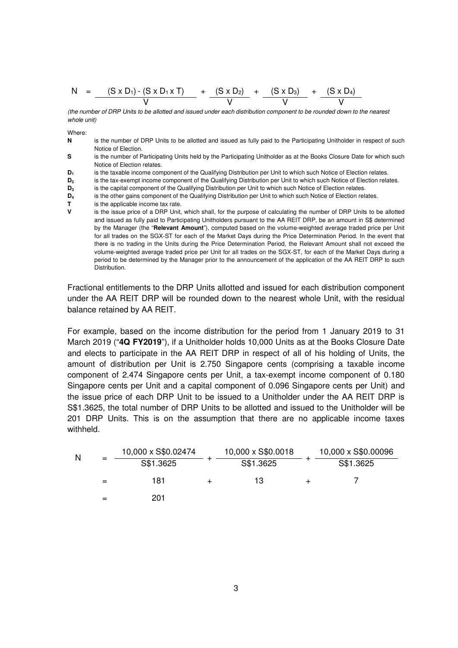$$
N = \frac{(S \times D_1) - (S \times D_1 \times T)}{V} + \frac{(S \times D_2)}{V} + \frac{(S \times D_3)}{V} + \frac{(S \times D_4)}{V}
$$

(the number of DRP Units to be allotted and issued under each distribution component to be rounded down to the nearest whole unit)

Where:

- **N** is the number of DRP Units to be allotted and issued as fully paid to the Participating Unitholder in respect of such Notice of Election.
- **S** is the number of Participating Units held by the Participating Unitholder as at the Books Closure Date for which such Notice of Election relates.
- **D<sub>1</sub>** is the taxable income component of the Qualifying Distribution per Unit to which such Notice of Election relates.
- **D<sub>2</sub>** is the tax-exempt income component of the Qualifying Distribution per Unit to which such Notice of Election relates.<br> **D<sub>3</sub>** is the capital component of the Qualifying Distribution per Unit to which such Notice of E
- **D3** is the capital component of the Qualifying Distribution per Unit to which such Notice of Election relates.
- **D4** is the other gains component of the Qualifying Distribution per Unit to which such Notice of Election relates.
- **T is the applicable income tax rate.**
- **V** is the issue price of a DRP Unit, which shall, for the purpose of calculating the number of DRP Units to be allotted and issued as fully paid to Participating Unitholders pursuant to the AA REIT DRP, be an amount in S\$ determined by the Manager (the "**Relevant Amount**"), computed based on the volume-weighted average traded price per Unit for all trades on the SGX-ST for each of the Market Days during the Price Determination Period. In the event that there is no trading in the Units during the Price Determination Period, the Relevant Amount shall not exceed the volume-weighted average traded price per Unit for all trades on the SGX-ST, for each of the Market Days during a period to be determined by the Manager prior to the announcement of the application of the AA REIT DRP to such Distribution.

Fractional entitlements to the DRP Units allotted and issued for each distribution component under the AA REIT DRP will be rounded down to the nearest whole Unit, with the residual balance retained by AA REIT.

For example, based on the income distribution for the period from 1 January 2019 to 31 March 2019 ("**4Q FY2019**"), if a Unitholder holds 10,000 Units as at the Books Closure Date and elects to participate in the AA REIT DRP in respect of all of his holding of Units, the amount of distribution per Unit is 2.750 Singapore cents (comprising a taxable income component of 2.474 Singapore cents per Unit, a tax-exempt income component of 0.180 Singapore cents per Unit and a capital component of 0.096 Singapore cents per Unit) and the issue price of each DRP Unit to be issued to a Unitholder under the AA REIT DRP is S\$1.3625, the total number of DRP Units to be allotted and issued to the Unitholder will be 201 DRP Units. This is on the assumption that there are no applicable income taxes withheld.

|  | 10,000 x S\$0.02474 |  | 10,000 x S\$0.0018 | 10,000 x S\$0.00096 |
|--|---------------------|--|--------------------|---------------------|
|  | S\$1.3625           |  | S\$1.3625          | S\$1.3625           |
|  | 181                 |  | 13                 |                     |
|  | 201                 |  |                    |                     |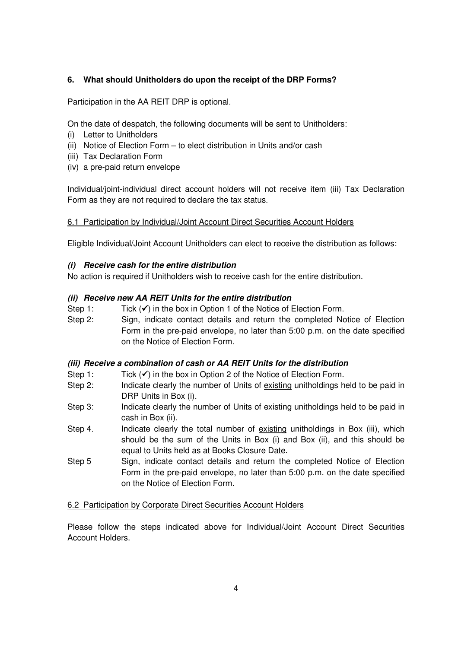# **6. What should Unitholders do upon the receipt of the DRP Forms?**

Participation in the AA REIT DRP is optional.

On the date of despatch, the following documents will be sent to Unitholders:

- (i) Letter to Unitholders
- (ii) Notice of Election Form to elect distribution in Units and/or cash
- (iii) Tax Declaration Form
- (iv) a pre-paid return envelope

Individual/joint-individual direct account holders will not receive item (iii) Tax Declaration Form as they are not required to declare the tax status.

#### 6.1 Participation by Individual/Joint Account Direct Securities Account Holders

Eligible Individual/Joint Account Unitholders can elect to receive the distribution as follows:

#### **(i) Receive cash for the entire distribution**

No action is required if Unitholders wish to receive cash for the entire distribution.

#### **(ii) Receive new AA REIT Units for the entire distribution**

- Step 1: Tick  $(\checkmark)$  in the box in Option 1 of the Notice of Election Form.
- Step 2: Sign, indicate contact details and return the completed Notice of Election Form in the pre-paid envelope, no later than 5:00 p.m. on the date specified on the Notice of Election Form.

# **(iii) Receive a combination of cash or AA REIT Units for the distribution**

- Step 1: Tick  $(\checkmark)$  in the box in Option 2 of the Notice of Election Form.
- Step 2: Indicate clearly the number of Units of existing unitholdings held to be paid in DRP Units in Box (i).
- Step 3: Indicate clearly the number of Units of existing unitholdings held to be paid in cash in Box (ii).
- Step 4. Indicate clearly the total number of existing unitholdings in Box (iii), which should be the sum of the Units in Box (i) and Box (ii), and this should be equal to Units held as at Books Closure Date.
- Step 5 Sign, indicate contact details and return the completed Notice of Election Form in the pre-paid envelope, no later than 5:00 p.m. on the date specified on the Notice of Election Form.

#### 6.2 Participation by Corporate Direct Securities Account Holders

Please follow the steps indicated above for Individual/Joint Account Direct Securities Account Holders.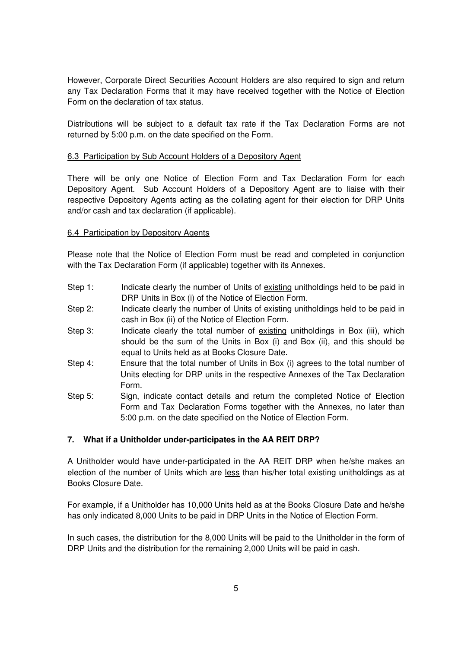However, Corporate Direct Securities Account Holders are also required to sign and return any Tax Declaration Forms that it may have received together with the Notice of Election Form on the declaration of tax status.

Distributions will be subject to a default tax rate if the Tax Declaration Forms are not returned by 5:00 p.m. on the date specified on the Form.

#### 6.3 Participation by Sub Account Holders of a Depository Agent

There will be only one Notice of Election Form and Tax Declaration Form for each Depository Agent. Sub Account Holders of a Depository Agent are to liaise with their respective Depository Agents acting as the collating agent for their election for DRP Units and/or cash and tax declaration (if applicable).

#### 6.4 Participation by Depository Agents

Please note that the Notice of Election Form must be read and completed in conjunction with the Tax Declaration Form (if applicable) together with its Annexes.

- Step 1: Indicate clearly the number of Units of existing unitholdings held to be paid in DRP Units in Box (i) of the Notice of Election Form.
- Step 2: Indicate clearly the number of Units of existing unitholdings held to be paid in cash in Box (ii) of the Notice of Election Form.
- Step 3: Indicate clearly the total number of existing unitholdings in Box (iii), which should be the sum of the Units in Box (i) and Box (ii), and this should be equal to Units held as at Books Closure Date.
- Step 4: Ensure that the total number of Units in Box (i) agrees to the total number of Units electing for DRP units in the respective Annexes of the Tax Declaration Form.
- Step 5: Sign, indicate contact details and return the completed Notice of Election Form and Tax Declaration Forms together with the Annexes, no later than 5:00 p.m. on the date specified on the Notice of Election Form.

## **7. What if a Unitholder under-participates in the AA REIT DRP?**

A Unitholder would have under-participated in the AA REIT DRP when he/she makes an election of the number of Units which are less than his/her total existing unitholdings as at Books Closure Date.

For example, if a Unitholder has 10,000 Units held as at the Books Closure Date and he/she has only indicated 8,000 Units to be paid in DRP Units in the Notice of Election Form.

In such cases, the distribution for the 8,000 Units will be paid to the Unitholder in the form of DRP Units and the distribution for the remaining 2,000 Units will be paid in cash.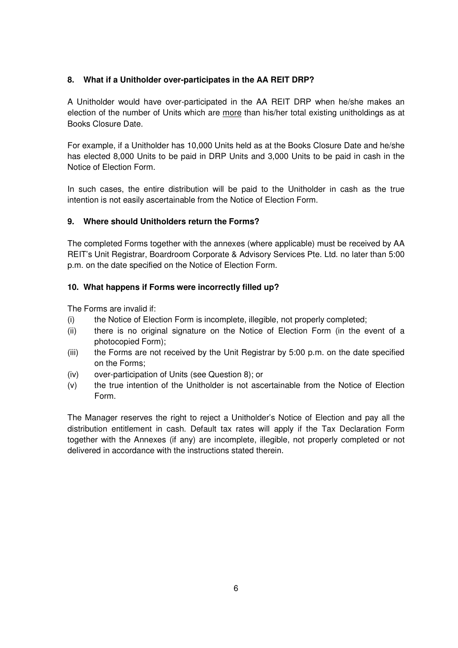## **8. What if a Unitholder over-participates in the AA REIT DRP?**

A Unitholder would have over-participated in the AA REIT DRP when he/she makes an election of the number of Units which are more than his/her total existing unitholdings as at Books Closure Date.

For example, if a Unitholder has 10,000 Units held as at the Books Closure Date and he/she has elected 8,000 Units to be paid in DRP Units and 3,000 Units to be paid in cash in the Notice of Election Form.

In such cases, the entire distribution will be paid to the Unitholder in cash as the true intention is not easily ascertainable from the Notice of Election Form.

## **9. Where should Unitholders return the Forms?**

The completed Forms together with the annexes (where applicable) must be received by AA REIT's Unit Registrar, Boardroom Corporate & Advisory Services Pte. Ltd. no later than 5:00 p.m. on the date specified on the Notice of Election Form.

#### **10. What happens if Forms were incorrectly filled up?**

The Forms are invalid if:

- (i) the Notice of Election Form is incomplete, illegible, not properly completed;
- (ii) there is no original signature on the Notice of Election Form (in the event of a photocopied Form);
- (iii) the Forms are not received by the Unit Registrar by 5:00 p.m. on the date specified on the Forms;
- (iv) over-participation of Units (see Question 8); or
- (v) the true intention of the Unitholder is not ascertainable from the Notice of Election Form.

The Manager reserves the right to reject a Unitholder's Notice of Election and pay all the distribution entitlement in cash. Default tax rates will apply if the Tax Declaration Form together with the Annexes (if any) are incomplete, illegible, not properly completed or not delivered in accordance with the instructions stated therein.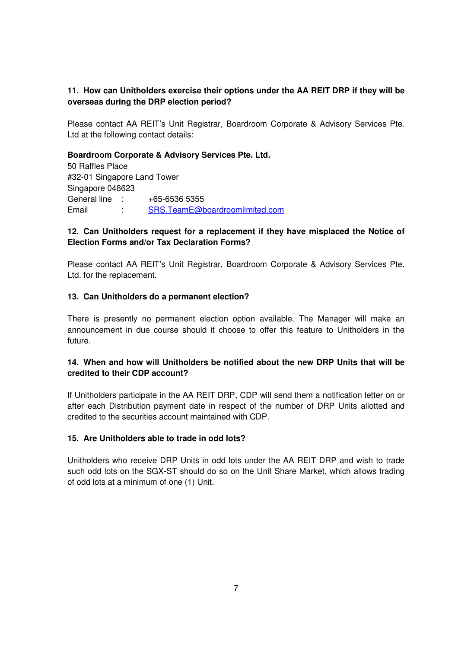# **11. How can Unitholders exercise their options under the AA REIT DRP if they will be overseas during the DRP election period?**

Please contact AA REIT's Unit Registrar, Boardroom Corporate & Advisory Services Pte. Ltd at the following contact details:

## **Boardroom Corporate & Advisory Services Pte. Ltd.**

50 Raffles Place #32-01 Singapore Land Tower Singapore 048623 General line : +65-6536 5355 Email : SRS.TeamE@boardroomlimited.com

# **12. Can Unitholders request for a replacement if they have misplaced the Notice of Election Forms and/or Tax Declaration Forms?**

Please contact AA REIT's Unit Registrar, Boardroom Corporate & Advisory Services Pte. Ltd. for the replacement.

# **13. Can Unitholders do a permanent election?**

There is presently no permanent election option available. The Manager will make an announcement in due course should it choose to offer this feature to Unitholders in the future.

# **14. When and how will Unitholders be notified about the new DRP Units that will be credited to their CDP account?**

If Unitholders participate in the AA REIT DRP, CDP will send them a notification letter on or after each Distribution payment date in respect of the number of DRP Units allotted and credited to the securities account maintained with CDP.

## **15. Are Unitholders able to trade in odd lots?**

Unitholders who receive DRP Units in odd lots under the AA REIT DRP and wish to trade such odd lots on the SGX-ST should do so on the Unit Share Market, which allows trading of odd lots at a minimum of one (1) Unit.